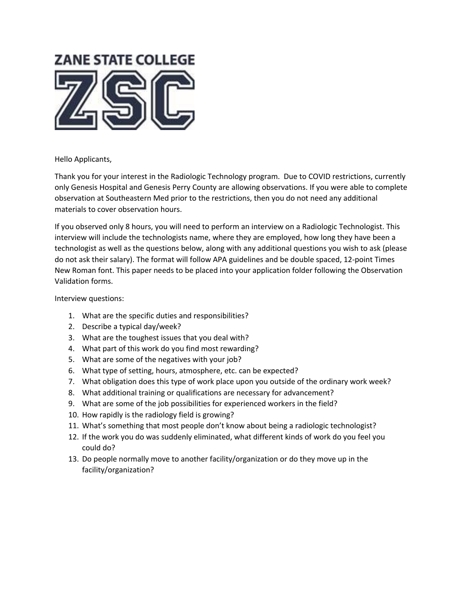

## Hello Applicants,

Thank you for your interest in the Radiologic Technology program. Due to COVID restrictions, currently only Genesis Hospital and Genesis Perry County are allowing observations. If you were able to complete observation at Southeastern Med prior to the restrictions, then you do not need any additional materials to cover observation hours.

If you observed only 8 hours, you will need to perform an interview on a Radiologic Technologist. This interview will include the technologists name, where they are employed, how long they have been a technologist as well as the questions below, along with any additional questions you wish to ask (please do not ask their salary). The format will follow APA guidelines and be double spaced, 12-point Times New Roman font. This paper needs to be placed into your application folder following the Observation Validation forms.

Interview questions:

- 1. What are the specific duties and responsibilities?
- 2. Describe a typical day/week?
- 3. What are the toughest issues that you deal with?
- 4. What part of this work do you find most rewarding?
- 5. What are some of the negatives with your job?
- 6. What type of setting, hours, atmosphere, etc. can be expected?
- 7. What obligation does this type of work place upon you outside of the ordinary work week?
- 8. What additional training or qualifications are necessary for advancement?
- 9. What are some of the job possibilities for experienced workers in the field?
- 10. How rapidly is the radiology field is growing?
- 11. What's something that most people don't know about being a radiologic technologist?
- 12. If the work you do was suddenly eliminated, what different kinds of work do you feel you could do?
- 13. Do people normally move to another facility/organization or do they move up in the facility/organization?